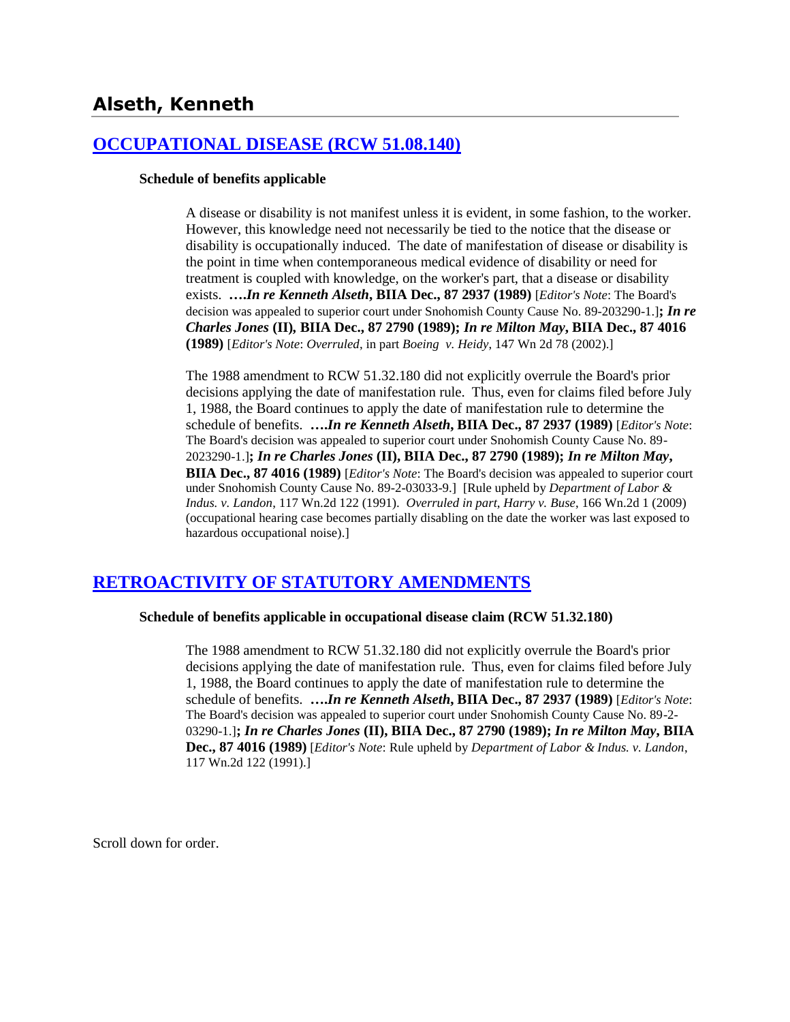# **Alseth, Kenneth**

### **[OCCUPATIONAL DISEASE \(RCW 51.08.140\)](http://www.biia.wa.gov/SDSubjectIndex.html#OCCUPATIONAL_DISEASE)**

### **Schedule of benefits applicable**

A disease or disability is not manifest unless it is evident, in some fashion, to the worker. However, this knowledge need not necessarily be tied to the notice that the disease or disability is occupationally induced. The date of manifestation of disease or disability is the point in time when contemporaneous medical evidence of disability or need for treatment is coupled with knowledge, on the worker's part, that a disease or disability exists. **….***In re Kenneth Alseth***, BIIA Dec., 87 2937 (1989)** [*Editor's Note*: The Board's decision was appealed to superior court under Snohomish County Cause No. 89-203290-1.]**;** *In re Charles Jones* **(II)***,* **BIIA Dec., 87 2790 (1989);** *In re Milton May***, BIIA Dec., 87 4016 (1989)** [*Editor's Note*: *Overruled*, in part *Boeing v. Heidy*, 147 Wn 2d 78 (2002).]

The 1988 amendment to RCW 51.32.180 did not explicitly overrule the Board's prior decisions applying the date of manifestation rule. Thus, even for claims filed before July 1, 1988, the Board continues to apply the date of manifestation rule to determine the schedule of benefits. **….***In re Kenneth Alseth***, BIIA Dec., 87 2937 (1989)** [*Editor's Note*: The Board's decision was appealed to superior court under Snohomish County Cause No. 89- 2023290-1.]**;** *In re Charles Jones* **(II), BIIA Dec., 87 2790 (1989);** *In re Milton May***, BIIA Dec., 87 4016 (1989)** [*Editor's Note*: The Board's decision was appealed to superior court under Snohomish County Cause No. 89-2-03033-9.] [Rule upheld by *Department of Labor & Indus. v. Landon*, 117 Wn.2d 122 (1991). *Overruled in part*, *Harry v. Buse*, 166 Wn.2d 1 (2009) (occupational hearing case becomes partially disabling on the date the worker was last exposed to hazardous occupational noise).]

# **[RETROACTIVITY OF STATUTORY AMENDMENTS](http://www.biia.wa.gov/SDSubjectIndex.html#RETROACTIVITY_OF_STATUTORY_AMENDMENTS)**

### **Schedule of benefits applicable in occupational disease claim (RCW 51.32.180)**

The 1988 amendment to RCW 51.32.180 did not explicitly overrule the Board's prior decisions applying the date of manifestation rule. Thus, even for claims filed before July 1, 1988, the Board continues to apply the date of manifestation rule to determine the schedule of benefits. **….***In re Kenneth Alseth***, BIIA Dec., 87 2937 (1989)** [*Editor's Note*: The Board's decision was appealed to superior court under Snohomish County Cause No. 89-2- 03290-1.]**;** *In re Charles Jones* **(II), BIIA Dec., 87 2790 (1989);** *In re Milton May***, BIIA Dec., 87 4016 (1989)** [*Editor's Note*: Rule upheld by *Department of Labor & Indus. v. Landon*, 117 Wn.2d 122 (1991).]

Scroll down for order.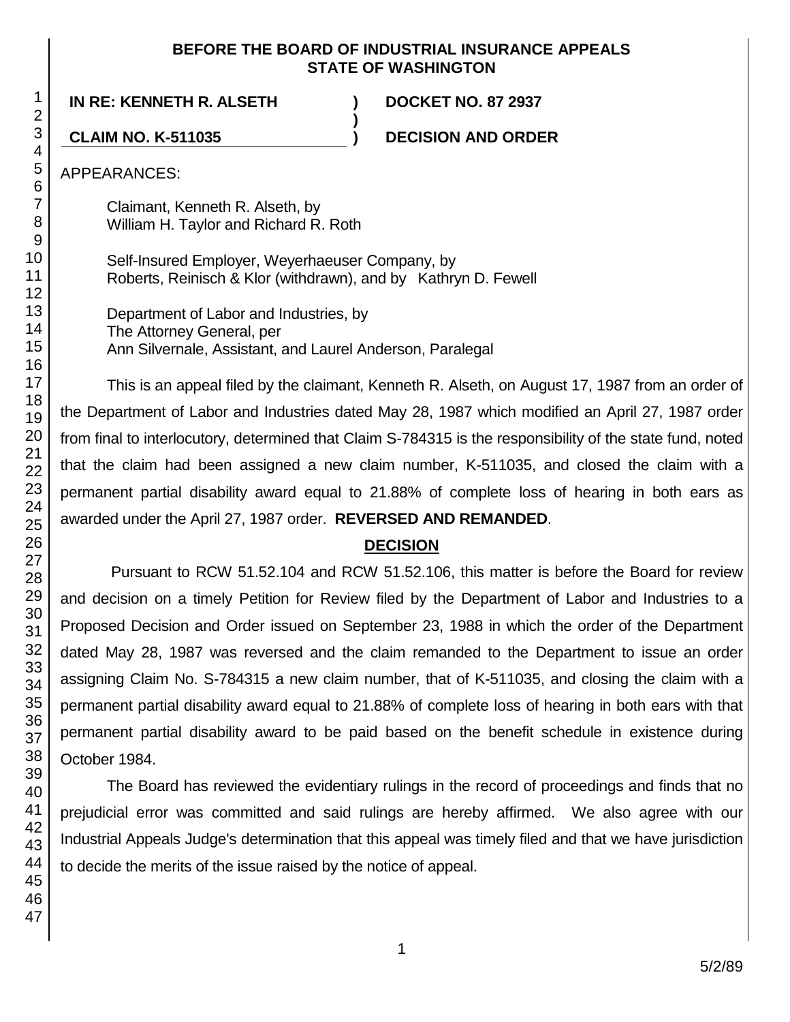### **BEFORE THE BOARD OF INDUSTRIAL INSURANCE APPEALS STATE OF WASHINGTON**

**)**

**IN RE: KENNETH R. ALSETH ) DOCKET NO. 87 2937**

**CLAIM NO. K-511035 ) DECISION AND ORDER**

APPEARANCES:

Claimant, Kenneth R. Alseth, by William H. Taylor and Richard R. Roth

Self-Insured Employer, Weyerhaeuser Company, by Roberts, Reinisch & Klor (withdrawn), and by Kathryn D. Fewell

Department of Labor and Industries, by The Attorney General, per Ann Silvernale, Assistant, and Laurel Anderson, Paralegal

This is an appeal filed by the claimant, Kenneth R. Alseth, on August 17, 1987 from an order of the Department of Labor and Industries dated May 28, 1987 which modified an April 27, 1987 order from final to interlocutory, determined that Claim S-784315 is the responsibility of the state fund, noted that the claim had been assigned a new claim number, K-511035, and closed the claim with a permanent partial disability award equal to 21.88% of complete loss of hearing in both ears as awarded under the April 27, 1987 order. **REVERSED AND REMANDED**.

# **DECISION**

Pursuant to RCW 51.52.104 and RCW 51.52.106, this matter is before the Board for review and decision on a timely Petition for Review filed by the Department of Labor and Industries to a Proposed Decision and Order issued on September 23, 1988 in which the order of the Department dated May 28, 1987 was reversed and the claim remanded to the Department to issue an order assigning Claim No. S-784315 a new claim number, that of K-511035, and closing the claim with a permanent partial disability award equal to 21.88% of complete loss of hearing in both ears with that permanent partial disability award to be paid based on the benefit schedule in existence during October 1984.

The Board has reviewed the evidentiary rulings in the record of proceedings and finds that no prejudicial error was committed and said rulings are hereby affirmed. We also agree with our Industrial Appeals Judge's determination that this appeal was timely filed and that we have jurisdiction to decide the merits of the issue raised by the notice of appeal.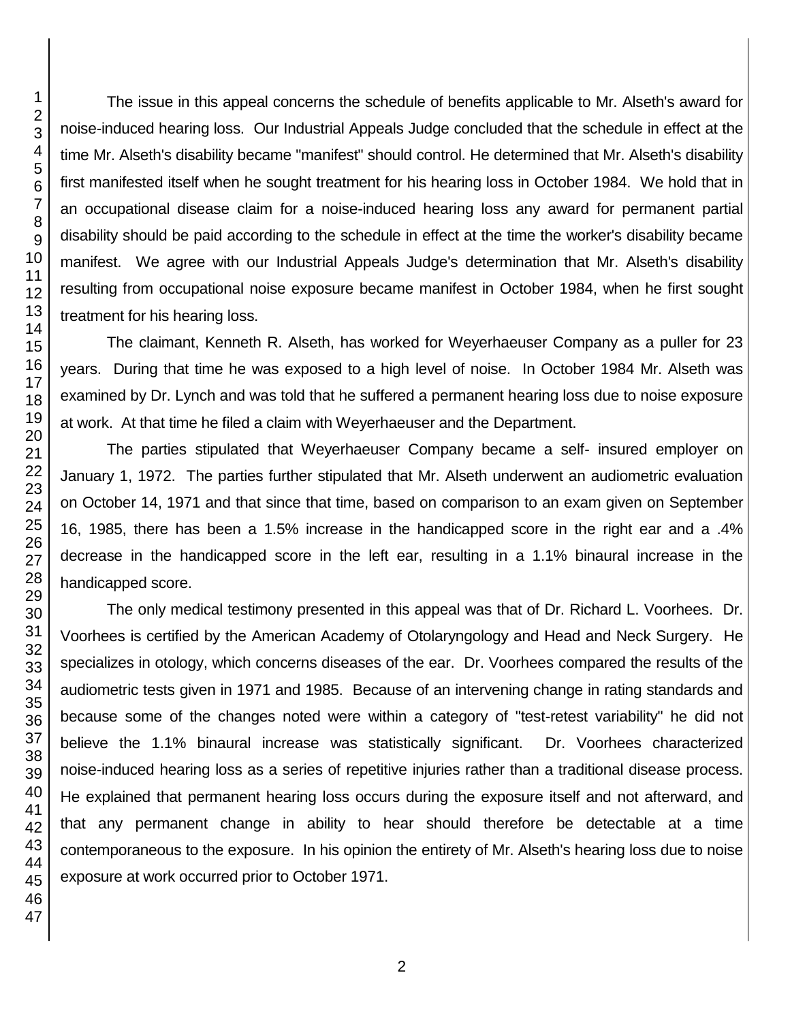The issue in this appeal concerns the schedule of benefits applicable to Mr. Alseth's award for noise-induced hearing loss. Our Industrial Appeals Judge concluded that the schedule in effect at the time Mr. Alseth's disability became "manifest" should control. He determined that Mr. Alseth's disability first manifested itself when he sought treatment for his hearing loss in October 1984. We hold that in an occupational disease claim for a noise-induced hearing loss any award for permanent partial disability should be paid according to the schedule in effect at the time the worker's disability became manifest. We agree with our Industrial Appeals Judge's determination that Mr. Alseth's disability resulting from occupational noise exposure became manifest in October 1984, when he first sought treatment for his hearing loss.

The claimant, Kenneth R. Alseth, has worked for Weyerhaeuser Company as a puller for 23 years. During that time he was exposed to a high level of noise. In October 1984 Mr. Alseth was examined by Dr. Lynch and was told that he suffered a permanent hearing loss due to noise exposure at work. At that time he filed a claim with Weyerhaeuser and the Department.

The parties stipulated that Weyerhaeuser Company became a self- insured employer on January 1, 1972. The parties further stipulated that Mr. Alseth underwent an audiometric evaluation on October 14, 1971 and that since that time, based on comparison to an exam given on September 16, 1985, there has been a 1.5% increase in the handicapped score in the right ear and a .4% decrease in the handicapped score in the left ear, resulting in a 1.1% binaural increase in the handicapped score.

The only medical testimony presented in this appeal was that of Dr. Richard L. Voorhees. Dr. Voorhees is certified by the American Academy of Otolaryngology and Head and Neck Surgery. He specializes in otology, which concerns diseases of the ear. Dr. Voorhees compared the results of the audiometric tests given in 1971 and 1985. Because of an intervening change in rating standards and because some of the changes noted were within a category of "test-retest variability" he did not believe the 1.1% binaural increase was statistically significant. Dr. Voorhees characterized noise-induced hearing loss as a series of repetitive injuries rather than a traditional disease process. He explained that permanent hearing loss occurs during the exposure itself and not afterward, and that any permanent change in ability to hear should therefore be detectable at a time contemporaneous to the exposure. In his opinion the entirety of Mr. Alseth's hearing loss due to noise exposure at work occurred prior to October 1971.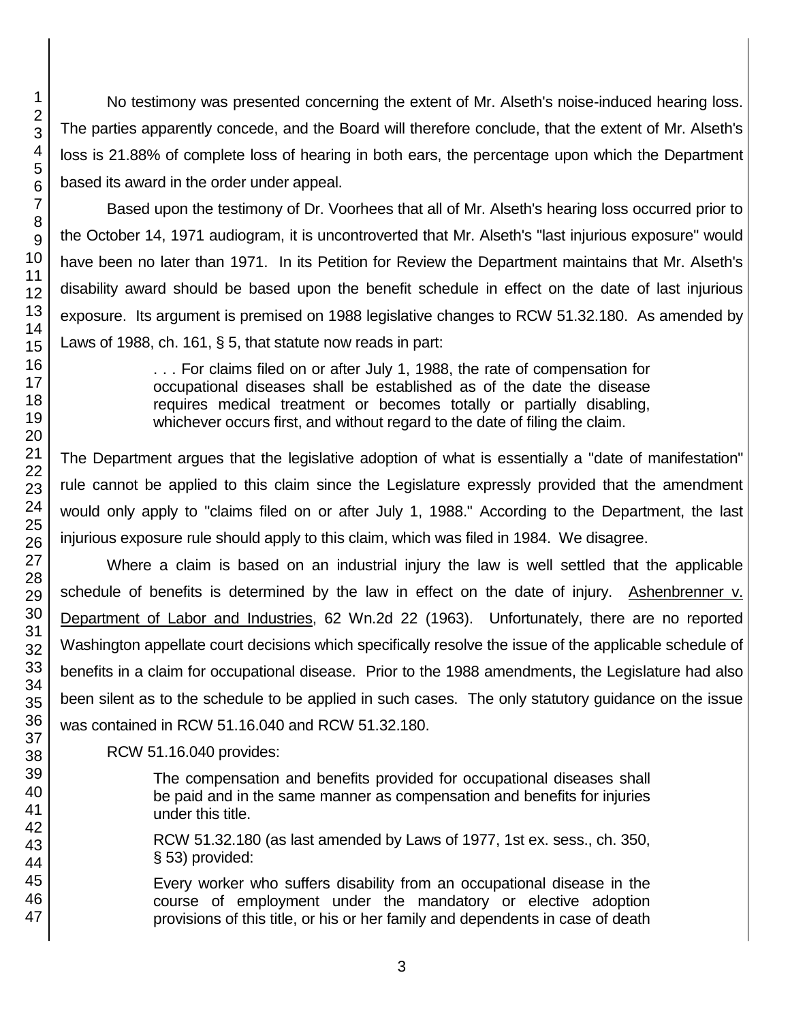No testimony was presented concerning the extent of Mr. Alseth's noise-induced hearing loss. The parties apparently concede, and the Board will therefore conclude, that the extent of Mr. Alseth's loss is 21.88% of complete loss of hearing in both ears, the percentage upon which the Department based its award in the order under appeal.

Based upon the testimony of Dr. Voorhees that all of Mr. Alseth's hearing loss occurred prior to the October 14, 1971 audiogram, it is uncontroverted that Mr. Alseth's "last injurious exposure" would have been no later than 1971. In its Petition for Review the Department maintains that Mr. Alseth's disability award should be based upon the benefit schedule in effect on the date of last injurious exposure. Its argument is premised on 1988 legislative changes to RCW 51.32.180. As amended by Laws of 1988, ch. 161, § 5, that statute now reads in part:

> . . . For claims filed on or after July 1, 1988, the rate of compensation for occupational diseases shall be established as of the date the disease requires medical treatment or becomes totally or partially disabling, whichever occurs first, and without regard to the date of filing the claim.

The Department argues that the legislative adoption of what is essentially a "date of manifestation" rule cannot be applied to this claim since the Legislature expressly provided that the amendment would only apply to "claims filed on or after July 1, 1988." According to the Department, the last injurious exposure rule should apply to this claim, which was filed in 1984. We disagree.

Where a claim is based on an industrial injury the law is well settled that the applicable schedule of benefits is determined by the law in effect on the date of injury. Ashenbrenner v. Department of Labor and Industries, 62 Wn.2d 22 (1963). Unfortunately, there are no reported Washington appellate court decisions which specifically resolve the issue of the applicable schedule of benefits in a claim for occupational disease. Prior to the 1988 amendments, the Legislature had also been silent as to the schedule to be applied in such cases. The only statutory guidance on the issue was contained in RCW 51.16.040 and RCW 51.32.180.

RCW 51.16.040 provides:

The compensation and benefits provided for occupational diseases shall be paid and in the same manner as compensation and benefits for injuries under this title.

RCW 51.32.180 (as last amended by Laws of 1977, 1st ex. sess., ch. 350, § 53) provided:

Every worker who suffers disability from an occupational disease in the course of employment under the mandatory or elective adoption provisions of this title, or his or her family and dependents in case of death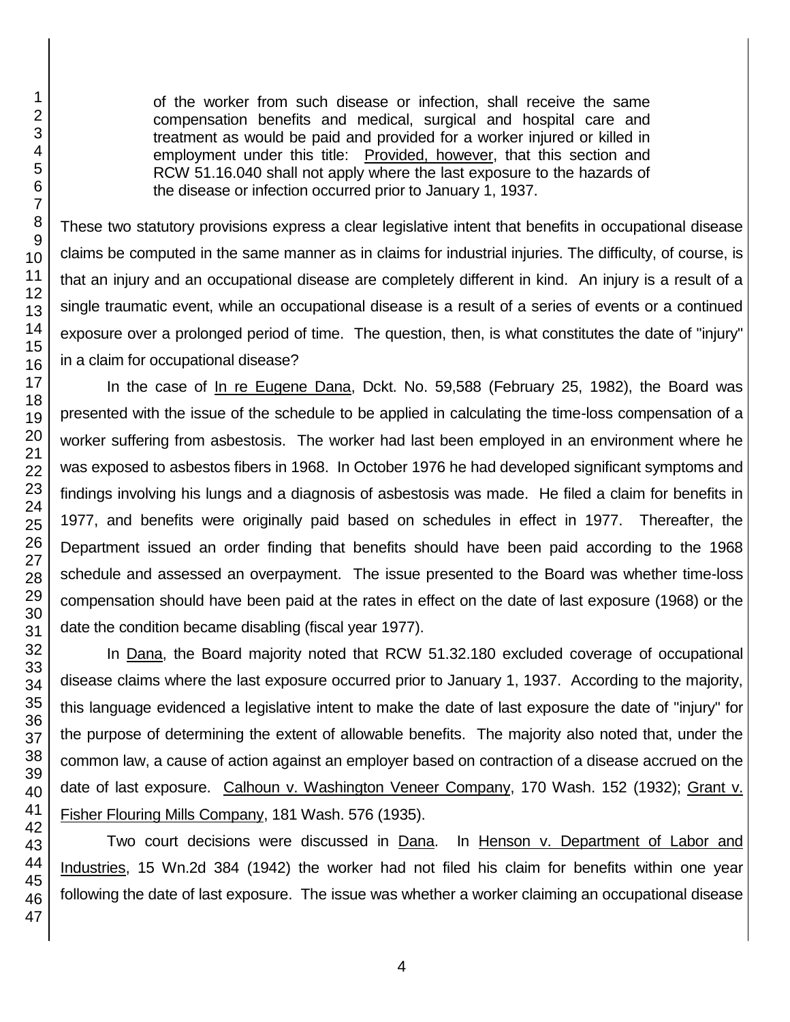of the worker from such disease or infection, shall receive the same compensation benefits and medical, surgical and hospital care and treatment as would be paid and provided for a worker injured or killed in employment under this title: Provided, however, that this section and RCW 51.16.040 shall not apply where the last exposure to the hazards of the disease or infection occurred prior to January 1, 1937.

These two statutory provisions express a clear legislative intent that benefits in occupational disease claims be computed in the same manner as in claims for industrial injuries. The difficulty, of course, is that an injury and an occupational disease are completely different in kind. An injury is a result of a single traumatic event, while an occupational disease is a result of a series of events or a continued exposure over a prolonged period of time. The question, then, is what constitutes the date of "injury" in a claim for occupational disease?

In the case of In re Eugene Dana, Dckt. No. 59,588 (February 25, 1982), the Board was presented with the issue of the schedule to be applied in calculating the time-loss compensation of a worker suffering from asbestosis. The worker had last been employed in an environment where he was exposed to asbestos fibers in 1968. In October 1976 he had developed significant symptoms and findings involving his lungs and a diagnosis of asbestosis was made. He filed a claim for benefits in 1977, and benefits were originally paid based on schedules in effect in 1977. Thereafter, the Department issued an order finding that benefits should have been paid according to the 1968 schedule and assessed an overpayment. The issue presented to the Board was whether time-loss compensation should have been paid at the rates in effect on the date of last exposure (1968) or the date the condition became disabling (fiscal year 1977).

In Dana, the Board majority noted that RCW 51.32.180 excluded coverage of occupational disease claims where the last exposure occurred prior to January 1, 1937. According to the majority, this language evidenced a legislative intent to make the date of last exposure the date of "injury" for the purpose of determining the extent of allowable benefits. The majority also noted that, under the common law, a cause of action against an employer based on contraction of a disease accrued on the date of last exposure. Calhoun v. Washington Veneer Company, 170 Wash. 152 (1932); Grant v. Fisher Flouring Mills Company, 181 Wash. 576 (1935).

Two court decisions were discussed in Dana. In Henson v. Department of Labor and Industries, 15 Wn.2d 384 (1942) the worker had not filed his claim for benefits within one year following the date of last exposure. The issue was whether a worker claiming an occupational disease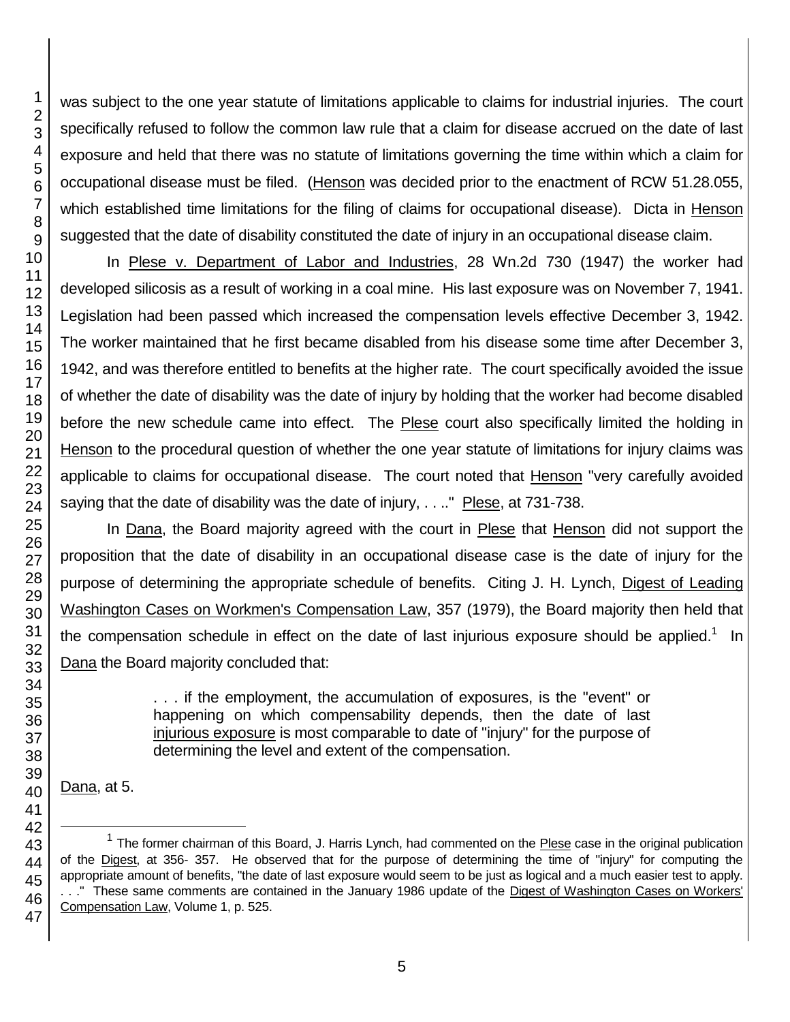was subject to the one year statute of limitations applicable to claims for industrial injuries. The court specifically refused to follow the common law rule that a claim for disease accrued on the date of last exposure and held that there was no statute of limitations governing the time within which a claim for occupational disease must be filed. (Henson was decided prior to the enactment of RCW 51.28.055, which established time limitations for the filing of claims for occupational disease). Dicta in Henson suggested that the date of disability constituted the date of injury in an occupational disease claim.

In Plese v. Department of Labor and Industries, 28 Wn.2d 730 (1947) the worker had developed silicosis as a result of working in a coal mine. His last exposure was on November 7, 1941. Legislation had been passed which increased the compensation levels effective December 3, 1942. The worker maintained that he first became disabled from his disease some time after December 3, 1942, and was therefore entitled to benefits at the higher rate. The court specifically avoided the issue of whether the date of disability was the date of injury by holding that the worker had become disabled before the new schedule came into effect. The **Plese** court also specifically limited the holding in Henson to the procedural question of whether the one year statute of limitations for injury claims was applicable to claims for occupational disease. The court noted that Henson "very carefully avoided saying that the date of disability was the date of injury,  $\dots$ " Plese, at 731-738.

In Dana, the Board majority agreed with the court in Plese that Henson did not support the proposition that the date of disability in an occupational disease case is the date of injury for the purpose of determining the appropriate schedule of benefits. Citing J. H. Lynch, Digest of Leading Washington Cases on Workmen's Compensation Law, 357 (1979), the Board majority then held that the compensation schedule in effect on the date of last injurious exposure should be applied.<sup>1</sup> In Dana the Board majority concluded that:

> . . . if the employment, the accumulation of exposures, is the "event" or happening on which compensability depends, then the date of last injurious exposure is most comparable to date of "injury" for the purpose of determining the level and extent of the compensation.

Dana, at 5.

l

<sup>&</sup>lt;sup>1</sup> The former chairman of this Board, J. Harris Lynch, had commented on the Plese case in the original publication of the Digest, at 356- 357. He observed that for the purpose of determining the time of "injury" for computing the appropriate amount of benefits, "the date of last exposure would seem to be just as logical and a much easier test to apply. . . ." These same comments are contained in the January 1986 update of the Digest of Washington Cases on Workers' Compensation Law, Volume 1, p. 525.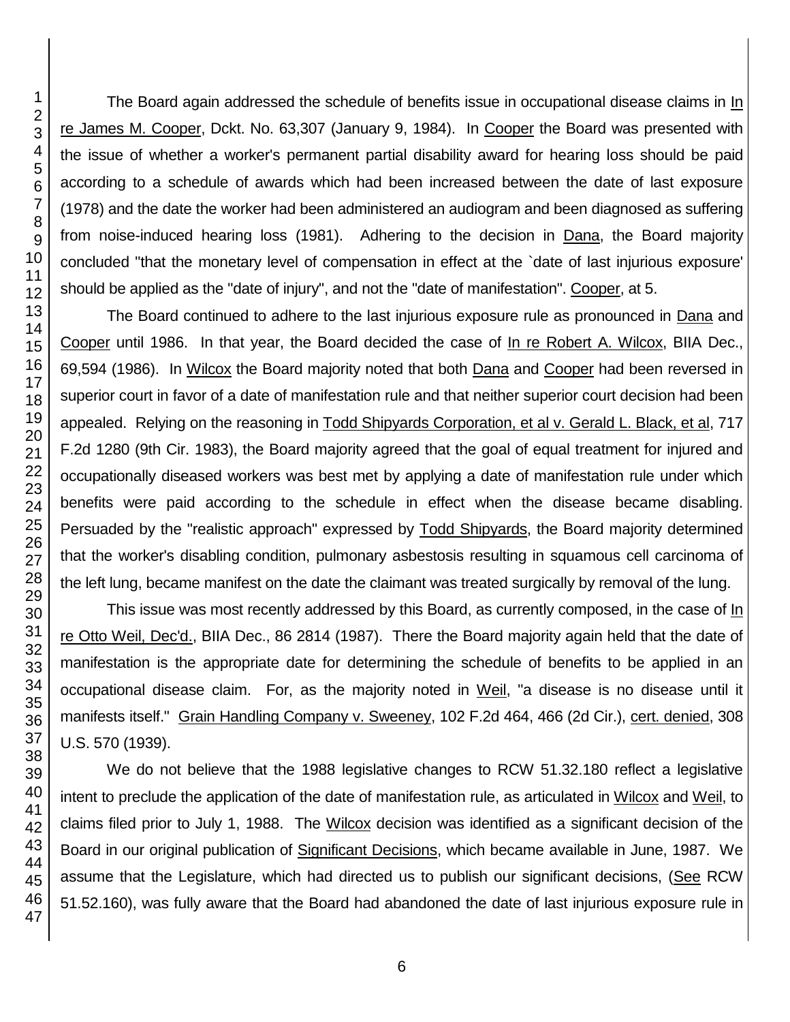The Board again addressed the schedule of benefits issue in occupational disease claims in In re James M. Cooper, Dckt. No. 63,307 (January 9, 1984). In Cooper the Board was presented with the issue of whether a worker's permanent partial disability award for hearing loss should be paid according to a schedule of awards which had been increased between the date of last exposure (1978) and the date the worker had been administered an audiogram and been diagnosed as suffering from noise-induced hearing loss (1981). Adhering to the decision in Dana, the Board majority concluded "that the monetary level of compensation in effect at the `date of last injurious exposure' should be applied as the "date of injury", and not the "date of manifestation". Cooper, at 5.

The Board continued to adhere to the last injurious exposure rule as pronounced in Dana and Cooper until 1986. In that year, the Board decided the case of In re Robert A. Wilcox, BIIA Dec., 69,594 (1986). In Wilcox the Board majority noted that both Dana and Cooper had been reversed in superior court in favor of a date of manifestation rule and that neither superior court decision had been appealed. Relying on the reasoning in Todd Shipyards Corporation, et al v. Gerald L. Black, et al, 717 F.2d 1280 (9th Cir. 1983), the Board majority agreed that the goal of equal treatment for injured and occupationally diseased workers was best met by applying a date of manifestation rule under which benefits were paid according to the schedule in effect when the disease became disabling. Persuaded by the "realistic approach" expressed by Todd Shipyards, the Board majority determined that the worker's disabling condition, pulmonary asbestosis resulting in squamous cell carcinoma of the left lung, became manifest on the date the claimant was treated surgically by removal of the lung.

This issue was most recently addressed by this Board, as currently composed, in the case of In re Otto Weil, Dec'd., BIIA Dec., 86 2814 (1987). There the Board majority again held that the date of manifestation is the appropriate date for determining the schedule of benefits to be applied in an occupational disease claim. For, as the majority noted in Weil, "a disease is no disease until it manifests itself." Grain Handling Company v. Sweeney, 102 F.2d 464, 466 (2d Cir.), cert. denied, 308 U.S. 570 (1939).

We do not believe that the 1988 legislative changes to RCW 51.32.180 reflect a legislative intent to preclude the application of the date of manifestation rule, as articulated in Wilcox and Weil, to claims filed prior to July 1, 1988. The Wilcox decision was identified as a significant decision of the Board in our original publication of Significant Decisions, which became available in June, 1987. We assume that the Legislature, which had directed us to publish our significant decisions, (See RCW 51.52.160), was fully aware that the Board had abandoned the date of last injurious exposure rule in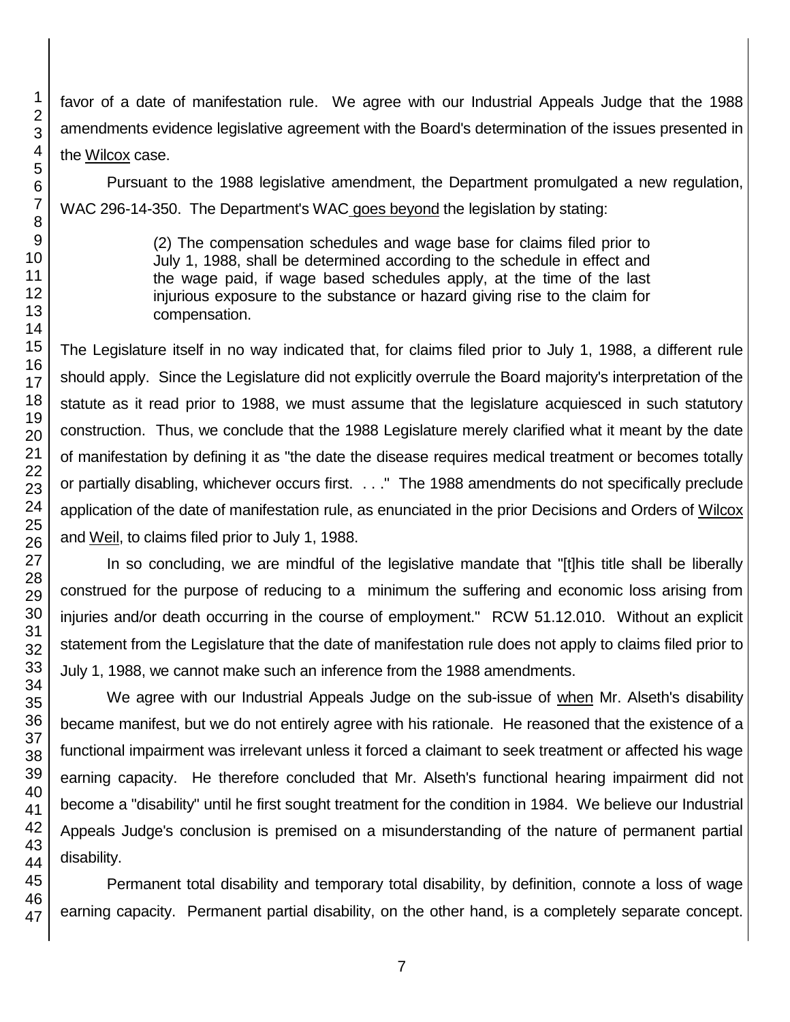favor of a date of manifestation rule. We agree with our Industrial Appeals Judge that the 1988 amendments evidence legislative agreement with the Board's determination of the issues presented in the Wilcox case.

Pursuant to the 1988 legislative amendment, the Department promulgated a new regulation, WAC 296-14-350. The Department's WAC goes beyond the legislation by stating:

> (2) The compensation schedules and wage base for claims filed prior to July 1, 1988, shall be determined according to the schedule in effect and the wage paid, if wage based schedules apply, at the time of the last injurious exposure to the substance or hazard giving rise to the claim for compensation.

The Legislature itself in no way indicated that, for claims filed prior to July 1, 1988, a different rule should apply. Since the Legislature did not explicitly overrule the Board majority's interpretation of the statute as it read prior to 1988, we must assume that the legislature acquiesced in such statutory construction. Thus, we conclude that the 1988 Legislature merely clarified what it meant by the date of manifestation by defining it as "the date the disease requires medical treatment or becomes totally or partially disabling, whichever occurs first. . . ." The 1988 amendments do not specifically preclude application of the date of manifestation rule, as enunciated in the prior Decisions and Orders of Wilcox and Weil, to claims filed prior to July 1, 1988.

In so concluding, we are mindful of the legislative mandate that "[t]his title shall be liberally construed for the purpose of reducing to a minimum the suffering and economic loss arising from injuries and/or death occurring in the course of employment." RCW 51.12.010. Without an explicit statement from the Legislature that the date of manifestation rule does not apply to claims filed prior to July 1, 1988, we cannot make such an inference from the 1988 amendments.

We agree with our Industrial Appeals Judge on the sub-issue of when Mr. Alseth's disability became manifest, but we do not entirely agree with his rationale. He reasoned that the existence of a functional impairment was irrelevant unless it forced a claimant to seek treatment or affected his wage earning capacity. He therefore concluded that Mr. Alseth's functional hearing impairment did not become a "disability" until he first sought treatment for the condition in 1984. We believe our Industrial Appeals Judge's conclusion is premised on a misunderstanding of the nature of permanent partial disability.

Permanent total disability and temporary total disability, by definition, connote a loss of wage earning capacity. Permanent partial disability, on the other hand, is a completely separate concept.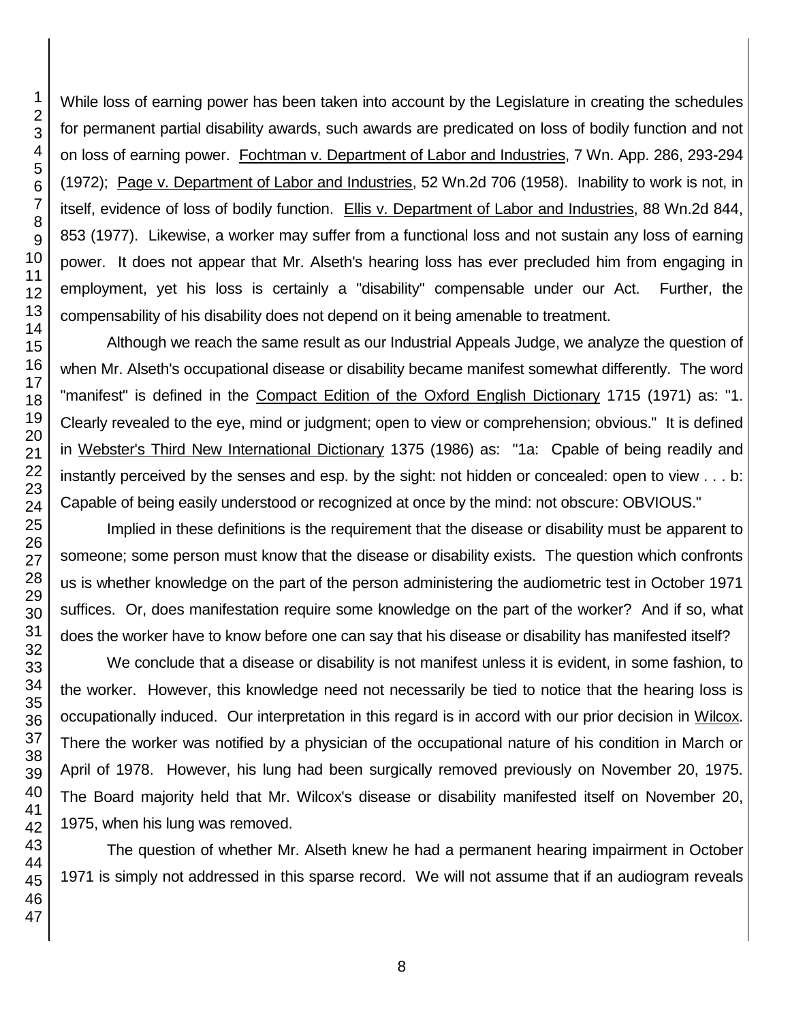While loss of earning power has been taken into account by the Legislature in creating the schedules for permanent partial disability awards, such awards are predicated on loss of bodily function and not on loss of earning power. Fochtman v. Department of Labor and Industries, 7 Wn. App. 286, 293-294 (1972); Page v. Department of Labor and Industries, 52 Wn.2d 706 (1958). Inability to work is not, in itself, evidence of loss of bodily function. Ellis v. Department of Labor and Industries, 88 Wn.2d 844, 853 (1977). Likewise, a worker may suffer from a functional loss and not sustain any loss of earning power. It does not appear that Mr. Alseth's hearing loss has ever precluded him from engaging in employment, yet his loss is certainly a "disability" compensable under our Act. Further, the compensability of his disability does not depend on it being amenable to treatment.

Although we reach the same result as our Industrial Appeals Judge, we analyze the question of when Mr. Alseth's occupational disease or disability became manifest somewhat differently. The word "manifest" is defined in the Compact Edition of the Oxford English Dictionary 1715 (1971) as: "1. Clearly revealed to the eye, mind or judgment; open to view or comprehension; obvious." It is defined in Webster's Third New International Dictionary 1375 (1986) as: "1a: Cpable of being readily and instantly perceived by the senses and esp. by the sight: not hidden or concealed: open to view . . . b: Capable of being easily understood or recognized at once by the mind: not obscure: OBVIOUS."

Implied in these definitions is the requirement that the disease or disability must be apparent to someone; some person must know that the disease or disability exists. The question which confronts us is whether knowledge on the part of the person administering the audiometric test in October 1971 suffices. Or, does manifestation require some knowledge on the part of the worker? And if so, what does the worker have to know before one can say that his disease or disability has manifested itself?

We conclude that a disease or disability is not manifest unless it is evident, in some fashion, to the worker. However, this knowledge need not necessarily be tied to notice that the hearing loss is occupationally induced. Our interpretation in this regard is in accord with our prior decision in Wilcox. There the worker was notified by a physician of the occupational nature of his condition in March or April of 1978. However, his lung had been surgically removed previously on November 20, 1975. The Board majority held that Mr. Wilcox's disease or disability manifested itself on November 20, 1975, when his lung was removed.

The question of whether Mr. Alseth knew he had a permanent hearing impairment in October 1971 is simply not addressed in this sparse record. We will not assume that if an audiogram reveals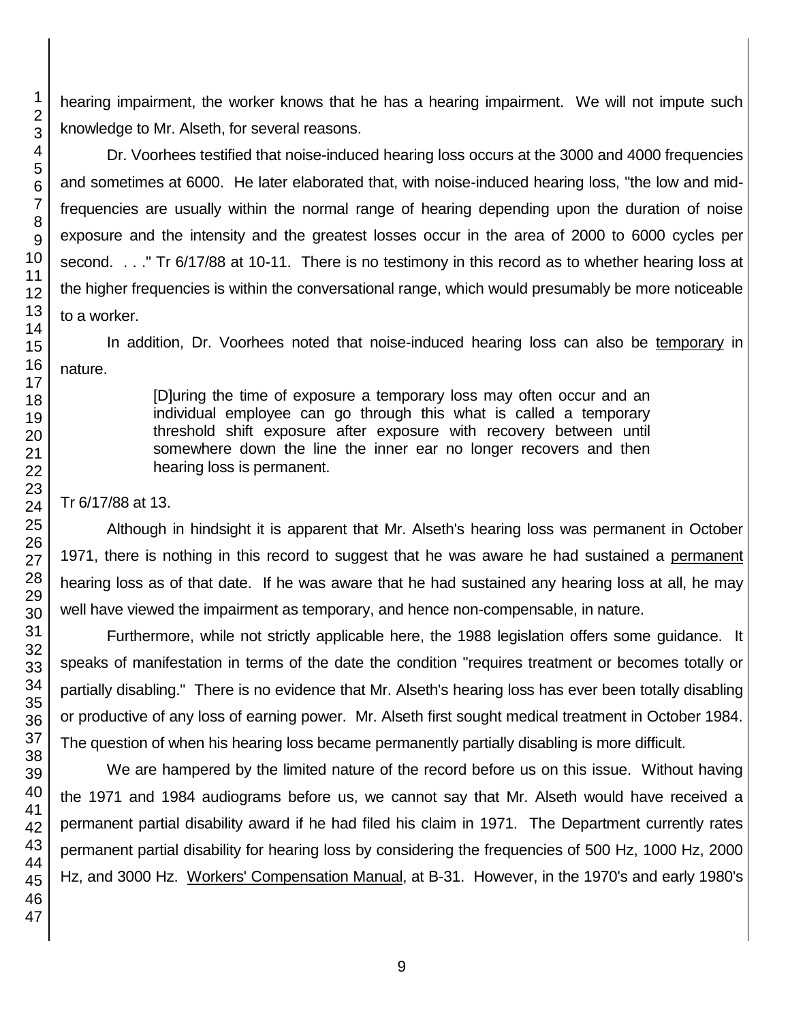hearing impairment, the worker knows that he has a hearing impairment. We will not impute such knowledge to Mr. Alseth, for several reasons.

Dr. Voorhees testified that noise-induced hearing loss occurs at the 3000 and 4000 frequencies and sometimes at 6000. He later elaborated that, with noise-induced hearing loss, "the low and midfrequencies are usually within the normal range of hearing depending upon the duration of noise exposure and the intensity and the greatest losses occur in the area of 2000 to 6000 cycles per second. . . ." Tr 6/17/88 at 10-11. There is no testimony in this record as to whether hearing loss at the higher frequencies is within the conversational range, which would presumably be more noticeable to a worker.

In addition, Dr. Voorhees noted that noise-induced hearing loss can also be temporary in nature.

> [D]uring the time of exposure a temporary loss may often occur and an individual employee can go through this what is called a temporary threshold shift exposure after exposure with recovery between until somewhere down the line the inner ear no longer recovers and then hearing loss is permanent.

## Tr 6/17/88 at 13.

Although in hindsight it is apparent that Mr. Alseth's hearing loss was permanent in October 1971, there is nothing in this record to suggest that he was aware he had sustained a permanent hearing loss as of that date. If he was aware that he had sustained any hearing loss at all, he may well have viewed the impairment as temporary, and hence non-compensable, in nature.

Furthermore, while not strictly applicable here, the 1988 legislation offers some guidance. It speaks of manifestation in terms of the date the condition "requires treatment or becomes totally or partially disabling." There is no evidence that Mr. Alseth's hearing loss has ever been totally disabling or productive of any loss of earning power. Mr. Alseth first sought medical treatment in October 1984. The question of when his hearing loss became permanently partially disabling is more difficult.

We are hampered by the limited nature of the record before us on this issue. Without having the 1971 and 1984 audiograms before us, we cannot say that Mr. Alseth would have received a permanent partial disability award if he had filed his claim in 1971. The Department currently rates permanent partial disability for hearing loss by considering the frequencies of 500 Hz, 1000 Hz, 2000 Hz, and 3000 Hz. Workers' Compensation Manual, at B-31. However, in the 1970's and early 1980's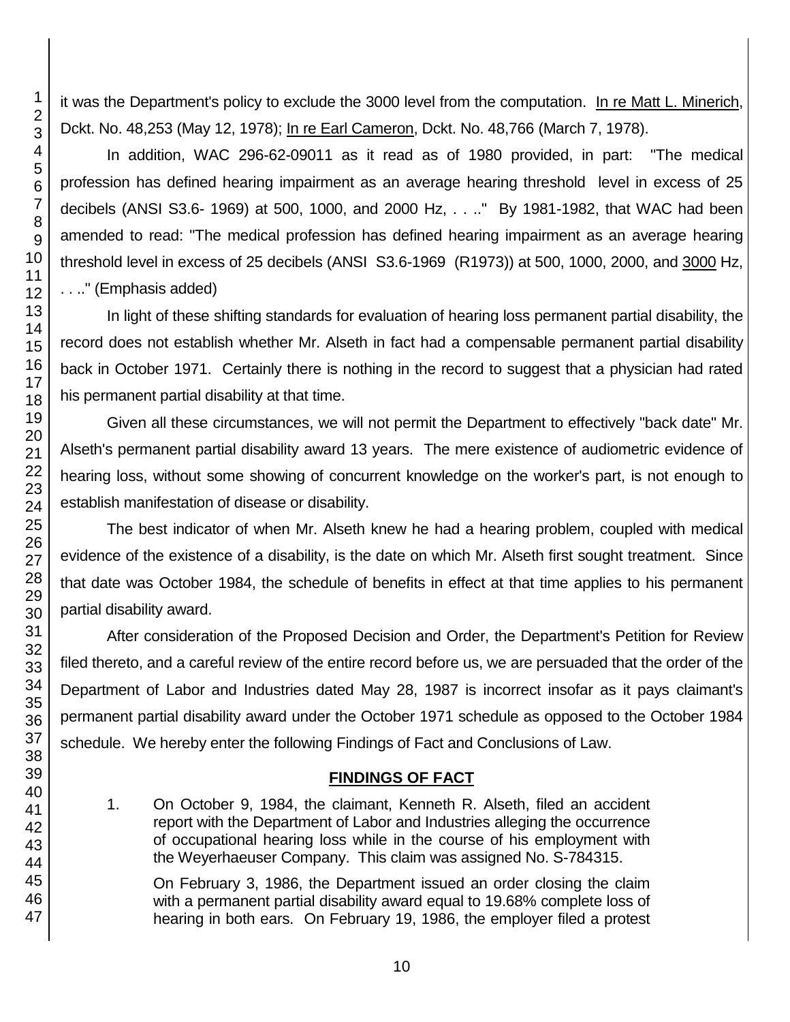it was the Department's policy to exclude the 3000 level from the computation. In re Matt L. Minerich, Dckt. No. 48,253 (May 12, 1978); In re Earl Cameron, Dckt. No. 48,766 (March 7, 1978).

In addition, WAC 296-62-09011 as it read as of 1980 provided, in part: "The medical profession has defined hearing impairment as an average hearing threshold level in excess of 25 decibels (ANSI S3.6- 1969) at 500, 1000, and 2000 Hz, . . .." By 1981-1982, that WAC had been amended to read: "The medical profession has defined hearing impairment as an average hearing threshold level in excess of 25 decibels (ANSI S3.6-1969 (R1973)) at 500, 1000, 2000, and 3000 Hz, . . .." (Emphasis added)

In light of these shifting standards for evaluation of hearing loss permanent partial disability, the record does not establish whether Mr. Alseth in fact had a compensable permanent partial disability back in October 1971. Certainly there is nothing in the record to suggest that a physician had rated his permanent partial disability at that time.

Given all these circumstances, we will not permit the Department to effectively "back date" Mr. Alseth's permanent partial disability award 13 years. The mere existence of audiometric evidence of hearing loss, without some showing of concurrent knowledge on the worker's part, is not enough to establish manifestation of disease or disability.

The best indicator of when Mr. Alseth knew he had a hearing problem, coupled with medical evidence of the existence of a disability, is the date on which Mr. Alseth first sought treatment. Since that date was October 1984, the schedule of benefits in effect at that time applies to his permanent partial disability award.

After consideration of the Proposed Decision and Order, the Department's Petition for Review filed thereto, and a careful review of the entire record before us, we are persuaded that the order of the Department of Labor and Industries dated May 28, 1987 is incorrect insofar as it pays claimant's permanent partial disability award under the October 1971 schedule as opposed to the October 1984 schedule. We hereby enter the following Findings of Fact and Conclusions of Law.

## **FINDINGS OF FACT**

1. On October 9, 1984, the claimant, Kenneth R. Alseth, filed an accident report with the Department of Labor and Industries alleging the occurrence of occupational hearing loss while in the course of his employment with the Weyerhaeuser Company. This claim was assigned No. S-784315.

On February 3, 1986, the Department issued an order closing the claim with a permanent partial disability award equal to 19.68% complete loss of hearing in both ears. On February 19, 1986, the employer filed a protest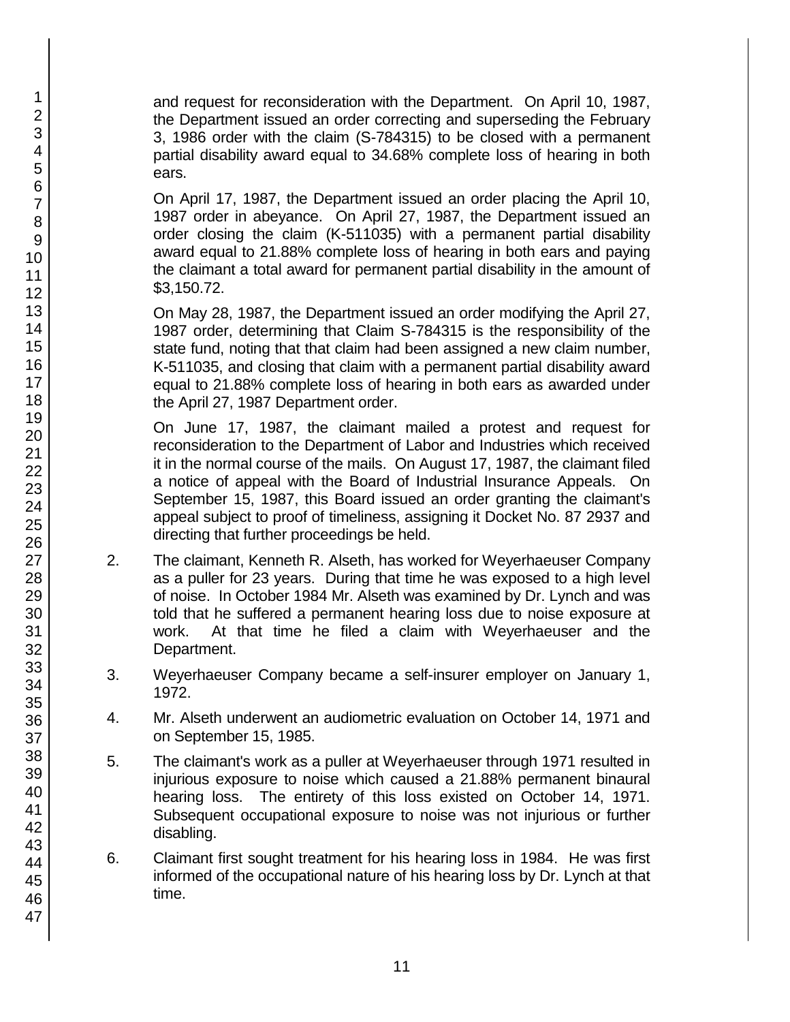and request for reconsideration with the Department. On April 10, 1987, the Department issued an order correcting and superseding the February 3, 1986 order with the claim (S-784315) to be closed with a permanent partial disability award equal to 34.68% complete loss of hearing in both ears.

On April 17, 1987, the Department issued an order placing the April 10, 1987 order in abeyance. On April 27, 1987, the Department issued an order closing the claim (K-511035) with a permanent partial disability award equal to 21.88% complete loss of hearing in both ears and paying the claimant a total award for permanent partial disability in the amount of \$3,150.72.

On May 28, 1987, the Department issued an order modifying the April 27, 1987 order, determining that Claim S-784315 is the responsibility of the state fund, noting that that claim had been assigned a new claim number, K-511035, and closing that claim with a permanent partial disability award equal to 21.88% complete loss of hearing in both ears as awarded under the April 27, 1987 Department order.

On June 17, 1987, the claimant mailed a protest and request for reconsideration to the Department of Labor and Industries which received it in the normal course of the mails. On August 17, 1987, the claimant filed a notice of appeal with the Board of Industrial Insurance Appeals. On September 15, 1987, this Board issued an order granting the claimant's appeal subject to proof of timeliness, assigning it Docket No. 87 2937 and directing that further proceedings be held.

- 2. The claimant, Kenneth R. Alseth, has worked for Weyerhaeuser Company as a puller for 23 years. During that time he was exposed to a high level of noise. In October 1984 Mr. Alseth was examined by Dr. Lynch and was told that he suffered a permanent hearing loss due to noise exposure at work. At that time he filed a claim with Weyerhaeuser and the Department.
- 3. Weyerhaeuser Company became a self-insurer employer on January 1, 1972.
- 4. Mr. Alseth underwent an audiometric evaluation on October 14, 1971 and on September 15, 1985.
- 5. The claimant's work as a puller at Weyerhaeuser through 1971 resulted in injurious exposure to noise which caused a 21.88% permanent binaural hearing loss. The entirety of this loss existed on October 14, 1971. Subsequent occupational exposure to noise was not injurious or further disabling.
- 6. Claimant first sought treatment for his hearing loss in 1984. He was first informed of the occupational nature of his hearing loss by Dr. Lynch at that time.